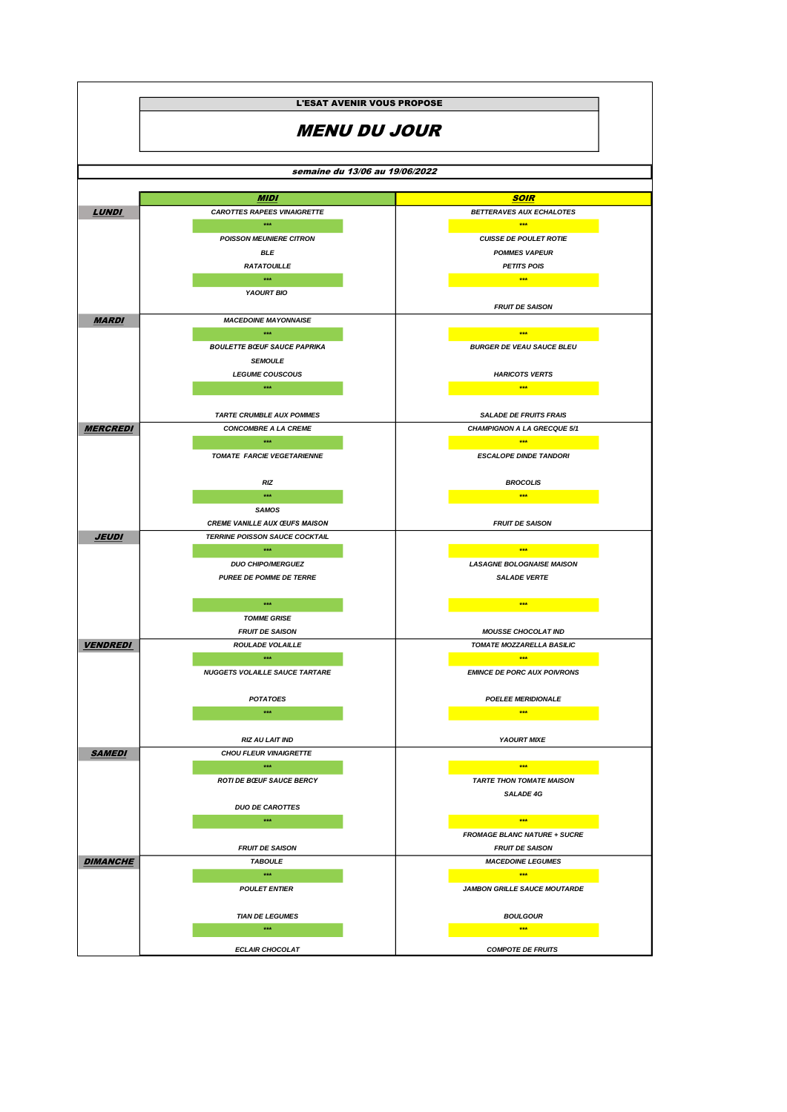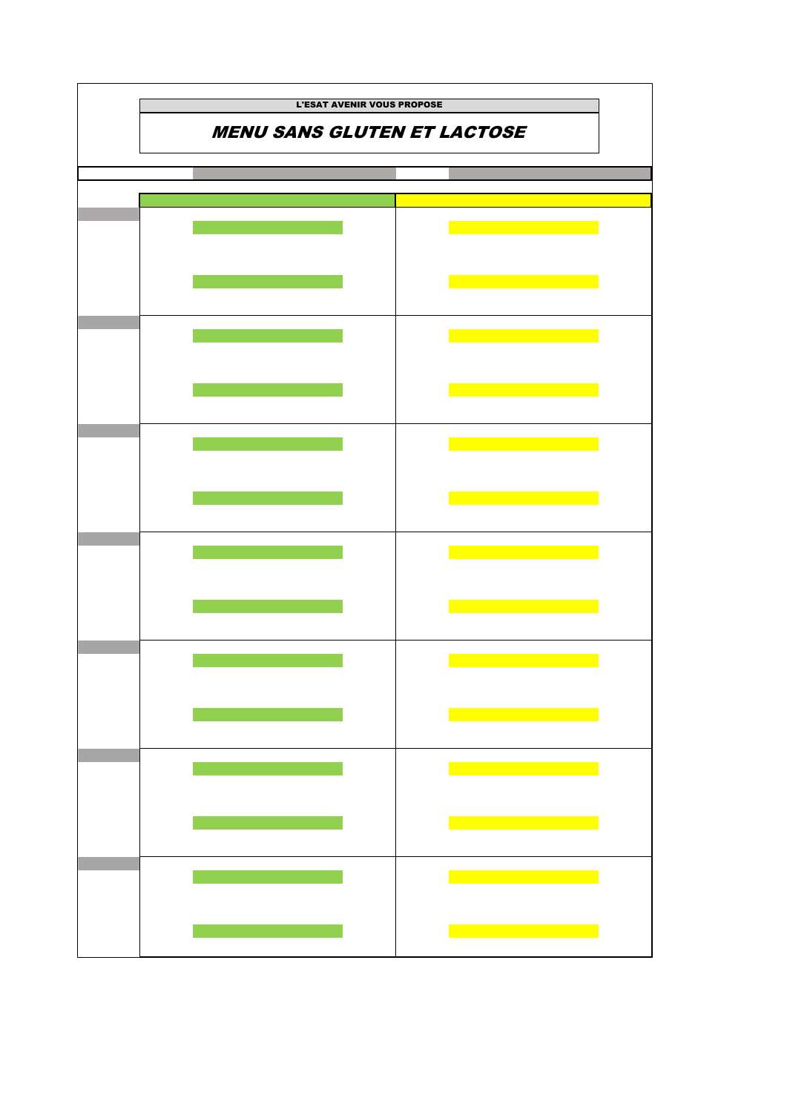